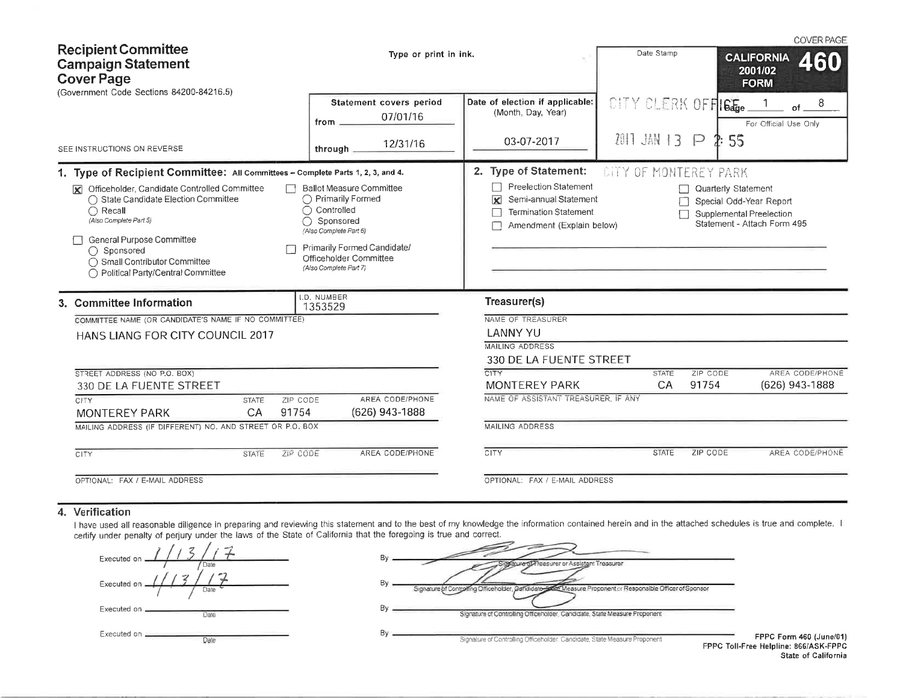| <b>Recipient Committee</b><br><b>Campaign Statement</b>                                                                                                                                                                                                             | Type or print in ink.                                                                                                                                                                         |                                                                                                                                               | Date Stamp                   |                                                                                                                  | <b>CALIFORNIA</b>      | <b>COVER PAGE</b><br>460 |
|---------------------------------------------------------------------------------------------------------------------------------------------------------------------------------------------------------------------------------------------------------------------|-----------------------------------------------------------------------------------------------------------------------------------------------------------------------------------------------|-----------------------------------------------------------------------------------------------------------------------------------------------|------------------------------|------------------------------------------------------------------------------------------------------------------|------------------------|--------------------------|
| <b>Cover Page</b><br>(Government Code Sections 84200-84216.5)                                                                                                                                                                                                       |                                                                                                                                                                                               |                                                                                                                                               |                              |                                                                                                                  | 2001/02<br><b>FORM</b> |                          |
|                                                                                                                                                                                                                                                                     | Statement covers period<br>07/01/16<br>from .                                                                                                                                                 | Date of election if applicable:<br>(Month, Day, Year)                                                                                         | CITY CLERK OFFICT.           |                                                                                                                  | For Official Use Only  | of                       |
| SEE INSTRUCTIONS ON REVERSE                                                                                                                                                                                                                                         | 12/31/16<br>through                                                                                                                                                                           | 03-07-2017                                                                                                                                    | 2011 JAN 13 P                | 55                                                                                                               |                        |                          |
| 1. Type of Recipient Committee: All Committees - Complete Parts 1, 2, 3, and 4.                                                                                                                                                                                     |                                                                                                                                                                                               | 2. Type of Statement:                                                                                                                         | <b>CITY OF MONTEREY PARK</b> |                                                                                                                  |                        |                          |
| Officeholder, Candidate Controlled Committee<br>K<br>◯ State Candidate Election Committee<br>$\bigcap$ Recall<br>(Also Complete Part 5)<br>General Purpose Committee<br>$\bigcap$ Sponsored<br>◯ Small Contributor Committee<br>◯ Political Party/Central Committee | <b>Ballot Measure Committee</b><br>◯ Primarily Formed<br>Controlled<br>Sponsored<br>(Also Complete Part 6)<br>Primarily Formed Candidate/<br>Officeholder Committee<br>(Also Complete Part 7) | <b>Preelection Statement</b><br>Semi-annual Statement<br>$\overline{\mathbf{x}}$<br><b>Termination Statement</b><br>Amendment (Explain below) |                              | <b>Quarterly Statement</b><br>Special Odd-Year Report<br>Supplemental Preelection<br>Statement - Attach Form 495 |                        |                          |
| 3. Committee Information                                                                                                                                                                                                                                            | I.D. NUMBER<br>1353529                                                                                                                                                                        | Treasurer(s)                                                                                                                                  |                              |                                                                                                                  |                        |                          |
| COMMITTEE NAME (OR CANDIDATE'S NAME IF NO COMMITTEE)                                                                                                                                                                                                                |                                                                                                                                                                                               | NAME OF TREASURER                                                                                                                             |                              |                                                                                                                  |                        |                          |
| HANS LIANG FOR CITY COUNCIL 2017                                                                                                                                                                                                                                    |                                                                                                                                                                                               | <b>LANNY YU</b>                                                                                                                               |                              |                                                                                                                  |                        |                          |
|                                                                                                                                                                                                                                                                     |                                                                                                                                                                                               | <b>MAILING ADDRESS</b>                                                                                                                        |                              |                                                                                                                  |                        |                          |
|                                                                                                                                                                                                                                                                     |                                                                                                                                                                                               | 330 DE LA FUENTE STREET                                                                                                                       |                              |                                                                                                                  |                        |                          |
| STREET ADDRESS (NO P.O. BOX)                                                                                                                                                                                                                                        |                                                                                                                                                                                               | <b>CITY</b>                                                                                                                                   | <b>STATE</b>                 | ZIP CODE                                                                                                         |                        | AREA CODE/PHONE          |
| 330 DE LA FUENTE STREET                                                                                                                                                                                                                                             |                                                                                                                                                                                               | <b>MONTEREY PARK</b>                                                                                                                          | CA                           | 91754                                                                                                            |                        | (626) 943-1888           |
| ZIP CODE<br>CITY<br><b>STATE</b>                                                                                                                                                                                                                                    | AREA CODE/PHONE                                                                                                                                                                               | NAME OF ASSISTANT TREASURER. IF ANY                                                                                                           |                              |                                                                                                                  |                        |                          |
| 91754<br><b>MONTEREY PARK</b><br>CA                                                                                                                                                                                                                                 | (626) 943-1888                                                                                                                                                                                |                                                                                                                                               |                              |                                                                                                                  |                        |                          |
| MAILING ADDRESS (IF DIFFERENT) NO. AND STREET OR P.O. BOX                                                                                                                                                                                                           |                                                                                                                                                                                               | MAILING ADDRESS                                                                                                                               |                              |                                                                                                                  |                        |                          |
| ZIP CODE<br><b>CITY</b><br><b>STATE</b>                                                                                                                                                                                                                             | AREA CODE/PHONE                                                                                                                                                                               | <b>CITY</b>                                                                                                                                   | <b>STATE</b>                 | ZIP CODE                                                                                                         |                        | AREA CODE/PHONE          |
| OPTIONAL: FAX / E-MAIL ADDRESS                                                                                                                                                                                                                                      |                                                                                                                                                                                               | OPTIONAL: FAX / E-MAIL ADDRESS                                                                                                                |                              |                                                                                                                  |                        |                          |

#### 4. Verification

I have used all reasonable diligence in preparing and reviewing this statement and to the best of my knowledge the information contained herein and in the attached schedules is true and complete. I certify under penalty o

| Executed on _       |  |
|---------------------|--|
| Date                |  |
| Executed on<br>Date |  |
| Executed on _       |  |
| Date                |  |
| Executed on<br>Date |  |

| By | disature of reasurer or Assistant Treasurer                                                                |
|----|------------------------------------------------------------------------------------------------------------|
| By | Signature of Controlling Officeholder, Candidate-Salas Measure Proponent or Responsible Officer of Sponsor |
| Bν | Signature of Controlling Officeholder, Candidate, State Measure Proponent                                  |
| Bv | Signature of Controlling Officeholder Candidate, State Measure Proponent<br><b>FPPC Toll-</b>              |

FPPC Form 460 (June/01) -Free Helpline: 866/ASK-FPPC State of California

and the state of the state of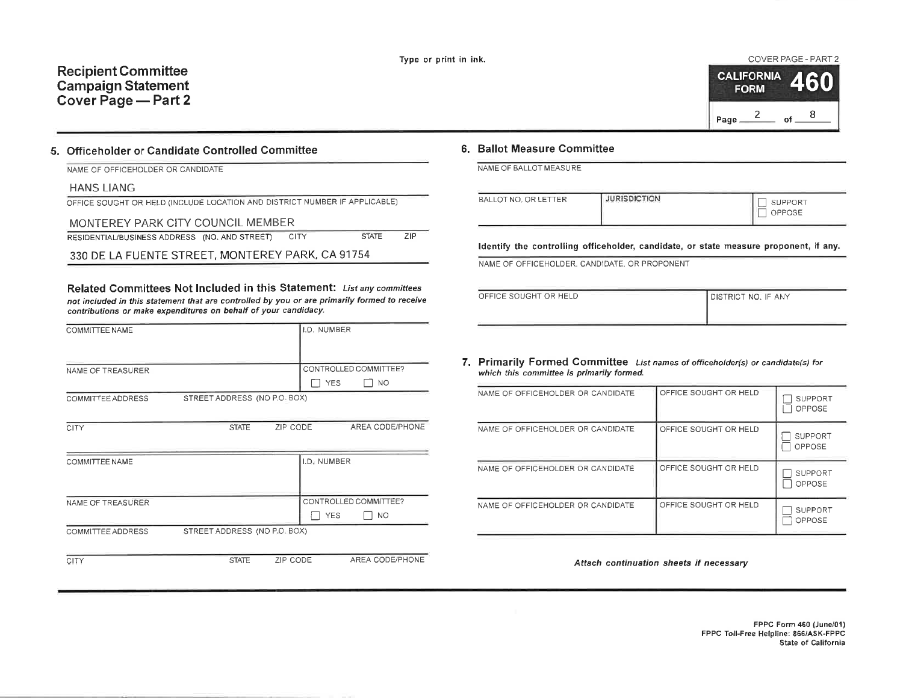## **Recipient Committee Campaign Statement** Cover Page - Part 2

# COVER PAGE - PART 2

| <b>CALIFORNIA</b> | <b>FORM</b> |    | 460 |
|-------------------|-------------|----|-----|
| Page              |             | nf | Զ   |

#### 5. Officeholder or Candidate Controlled Committee

| NAME OF OFFICEHOLDER OR CANDIDATE |  |  |  |  |  |  |
|-----------------------------------|--|--|--|--|--|--|
|-----------------------------------|--|--|--|--|--|--|

#### **HANS LIANG**

| OFFICE SOUGHT OR HELD (INCLUDE LOCATION AND DISTRICT NUMBER IF APPLICABLE) |  |  |
|----------------------------------------------------------------------------|--|--|
|                                                                            |  |  |

| MONTEREY PARK CITY COUNCIL MEMBER                  |              |     |
|----------------------------------------------------|--------------|-----|
| RESIDENTIAL/BUSINESS ADDRESS (NO. AND STREET) CITY | <b>STATE</b> | 71P |

330 DE LA FUENTE STREET, MONTEREY PARK, CA 91754

Related Committees Not Included in this Statement: List any committees not included in this statement that are controlled by you or are primarily formed to receive contributions or make expenditures on behalf of your candidacy.

| COMMITTEE NAME        |                              |          | I.D. NUMBER |                       |
|-----------------------|------------------------------|----------|-------------|-----------------------|
|                       |                              |          |             |                       |
| NAME OF TREASURER     |                              |          |             | CONTROLLED COMMITTEE? |
|                       |                              |          | <b>YES</b>  | NO.                   |
| COMMITTEE ADDRESS     | STREET ADDRESS (NO P.O. BOX) |          |             |                       |
|                       |                              |          |             |                       |
| <b>CITY</b>           | <b>STATE</b>                 | ZIP CODE |             | AREA CODE/PHONE       |
|                       |                              |          |             |                       |
| <b>COMMITTEE NAME</b> |                              |          | I.D. NUMBER |                       |
|                       |                              |          |             |                       |
|                       |                              |          |             |                       |
| NAME OF TREASURER     |                              |          |             | CONTROLLED COMMITTEE? |
|                       |                              |          | <b>YES</b>  | NO.                   |
| COMMITTEE ADDRESS     | STREET ADDRESS (NO P.O. BOX) |          |             |                       |
|                       |                              |          |             |                       |
| CITY                  | <b>STATE</b>                 | ZIP CODE |             | AREA CODE/PHONE       |

#### 6. Ballot Measure Committee

NAME OF BALLOT MEASURE

| BALLOT NO, OR LETTER | <b>JURISDICTION</b> | SUPPORT<br>OPPOSE |
|----------------------|---------------------|-------------------|
|                      |                     |                   |

Identify the controlling officeholder, candidate, or state measure proponent, if any.

NAME OF OFFICEHOLDER, CANDIDATE, OR PROPONENT

| OFFICE SOUGHT OR HELD | <b>DISTRICT NO. IF ANY</b> |
|-----------------------|----------------------------|
|                       |                            |

#### 7. Primarily Formed Committee List names of officeholder(s) or candidate(s) for which this committee is primarily formed.

| NAME OF OFFICEHOLDER OR CANDIDATE | OFFICE SOUGHT OR HELD | <b>SUPPORT</b><br>OPPOSE |
|-----------------------------------|-----------------------|--------------------------|
| NAME OF OFFICEHOLDER OR CANDIDATE | OFFICE SOUGHT OR HELD | <b>SUPPORT</b><br>OPPOSE |
| NAME OF OFFICEHOLDER OR CANDIDATE | OFFICE SOUGHT OR HELD | <b>SUPPORT</b><br>OPPOSE |
| NAME OF OFFICEHOLDER OR CANDIDATE | OFFICE SOUGHT OR HELD | SUPPORT<br>OPPOSE        |

Attach continuation sheets if necessary

FPPC Form 460 (June/01) FPPC Toll-Free Helpline: 866/ASK-FPPC State of California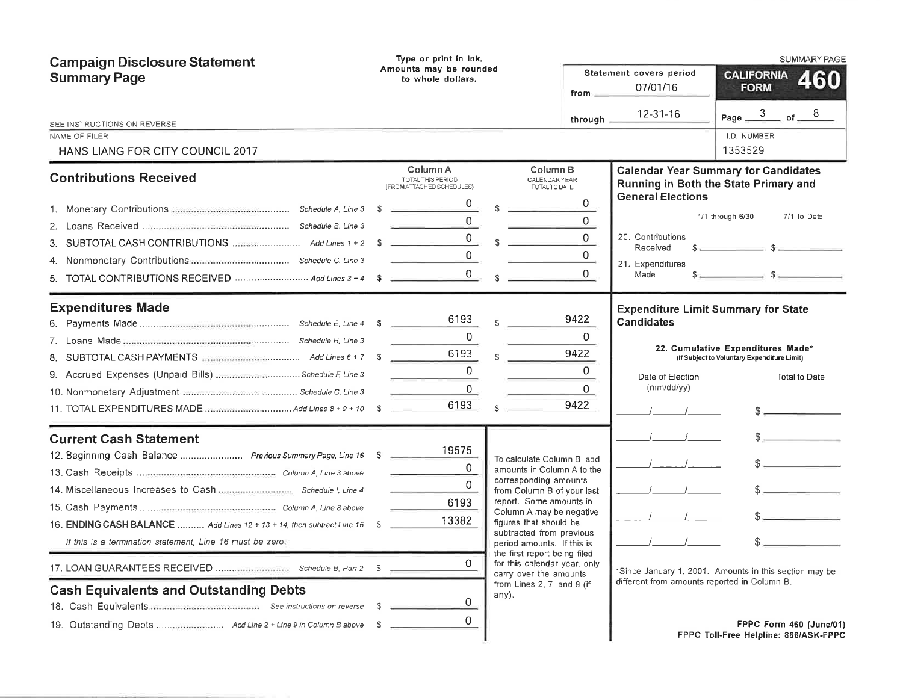| <b>Campaign Disclosure Statement</b><br><b>Summary Page</b>                                                                                                                                                                                                                               | Type or print in ink.<br>Amounts may be rounded<br>to whole dollars.                                              |                                                                                                                                                                                                                                                                                                                                                                                             | Statement covers period<br>07/01/16<br>from $-$                                                                                                 | <b>SUMMARY PAGE</b><br><b>CALIFORNIA</b><br>460<br><b>FORM</b>                                                                                         |
|-------------------------------------------------------------------------------------------------------------------------------------------------------------------------------------------------------------------------------------------------------------------------------------------|-------------------------------------------------------------------------------------------------------------------|---------------------------------------------------------------------------------------------------------------------------------------------------------------------------------------------------------------------------------------------------------------------------------------------------------------------------------------------------------------------------------------------|-------------------------------------------------------------------------------------------------------------------------------------------------|--------------------------------------------------------------------------------------------------------------------------------------------------------|
| SEE INSTRUCTIONS ON REVERSE<br>NAME OF FILER<br>HANS LIANG FOR CITY COUNCIL 2017                                                                                                                                                                                                          |                                                                                                                   |                                                                                                                                                                                                                                                                                                                                                                                             | 12-31-16<br>through,                                                                                                                            | Page $\frac{3}{2}$ of $\frac{8}{2}$<br>I.D. NUMBER<br>1353529                                                                                          |
| <b>Contributions Received</b><br>3.<br>TOTAL CONTRIBUTIONS RECEIVED  Add Lines 3 + 4 \$<br>5.                                                                                                                                                                                             | Column A<br>TOTAL THIS PERIOD<br>(FROM ATTACHED SCHEDULES)<br>$^{\circ}$<br>production and control of the control | Column B<br>CALENDAR YEAR<br>TOTAL TO DATE<br>$s \sim$<br>$\sim$<br>$0 \qquad \qquad \text{S}$                                                                                                                                                                                                                                                                                              | <b>General Elections</b><br>0<br>$\overline{0}$<br>$\Omega$<br>20. Contributions<br>Received<br>$\overline{0}$<br>21. Expenditures<br>0<br>Made | <b>Calendar Year Summary for Candidates</b><br>Running in Both the State Primary and<br>1/1 through 6/30<br>7/1 to Date<br>$s \sim$ $s \sim$           |
| <b>Expenditures Made</b><br>9. Accrued Expenses (Unpaid Bills)  Schedule F, Line 3                                                                                                                                                                                                        | 6193<br>$\Omega$<br>6193<br>$\Omega$<br>$\mathbf 0$<br>6193                                                       | 9422<br>9422<br>$\mathbf{\hat{S}}$<br>9422<br>\$.                                                                                                                                                                                                                                                                                                                                           | <b>Candidates</b><br>0<br>$\mathbf{0}$<br>Date of Election<br>(mm/dd/yy)<br>0                                                                   | <b>Expenditure Limit Summary for State</b><br>22. Cumulative Expenditures Made*<br>(If Subject to Voluntary Expenditure Limit)<br><b>Total to Date</b> |
| <b>Current Cash Statement</b><br>12. Beginning Cash Balance  Previous Summary Page, Line 16 \$<br>16. ENDING CASH BALANCE  Add Lines 12 + 13 + 14, then subtract Line 15 \$<br>If this is a termination statement. Line 16 must be zero.<br><b>Cash Equivalents and Outstanding Debts</b> | 19575<br>$\Omega$<br>$\Omega$<br>6193<br>13382<br>0<br>0<br>- S<br>0                                              | To calculate Column B, add<br>amounts in Column A to the<br>corresponding amounts<br>from Column B of your last<br>report. Some amounts in<br>Column A may be negative<br>figures that should be<br>subtracted from previous<br>period amounts. If this is<br>the first report being filed<br>for this calendar year, only<br>carry over the amounts<br>from Lines 2, 7, and 9 (if<br>any). | different from amounts reported in Column B.                                                                                                    | $\sim$<br>s<br>s<br>*Since January 1, 2001. Amounts in this section may be<br>FPPC Form 460 (June/01)<br>FPPC Toll-Free Helpline: 866/ASK-FPPC         |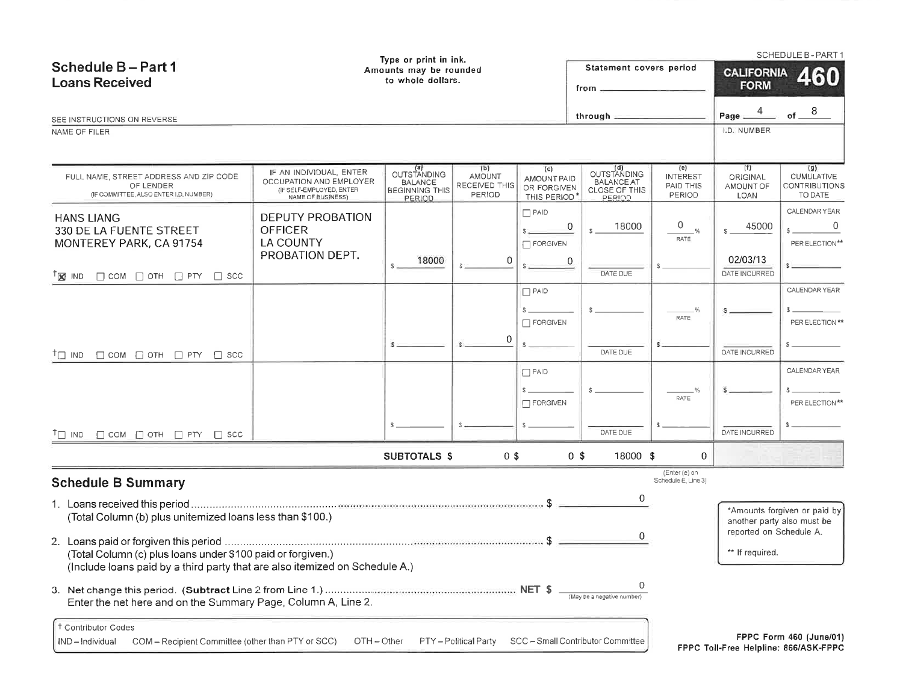|                                                                                                                                                                                                                                                                                                                               |                                                                                                     | Type or print in ink.                                                   |                                                        |                                                  |                                                                           |                                               |                                             | <b>SCHEDULE B - PART 1</b>                                       |  |
|-------------------------------------------------------------------------------------------------------------------------------------------------------------------------------------------------------------------------------------------------------------------------------------------------------------------------------|-----------------------------------------------------------------------------------------------------|-------------------------------------------------------------------------|--------------------------------------------------------|--------------------------------------------------|---------------------------------------------------------------------------|-----------------------------------------------|---------------------------------------------|------------------------------------------------------------------|--|
| Schedule B-Part 1<br><b>Loans Received</b>                                                                                                                                                                                                                                                                                    | Statement covers period<br>Amounts may be rounded<br>to whole dollars.<br>$from \_\_\_\_\_\_\_\_$   |                                                                         |                                                        |                                                  |                                                                           |                                               | <b>CALIFORNIA</b><br>460<br><b>FORM</b>     |                                                                  |  |
| SEE INSTRUCTIONS ON REVERSE                                                                                                                                                                                                                                                                                                   |                                                                                                     |                                                                         |                                                        |                                                  | through $\equiv$                                                          |                                               | Page $\frac{4}{1}$                          | -8<br>$of$ $-$                                                   |  |
| NAME OF FILER                                                                                                                                                                                                                                                                                                                 |                                                                                                     |                                                                         |                                                        |                                                  |                                                                           |                                               | I.D. NUMBER                                 |                                                                  |  |
|                                                                                                                                                                                                                                                                                                                               |                                                                                                     |                                                                         |                                                        |                                                  |                                                                           |                                               |                                             |                                                                  |  |
| FULL NAME, STREET ADDRESS AND ZIP CODE<br>OF LENDER<br>(IF COMMITTEE, ALSO ENTER I D. NUMBER)                                                                                                                                                                                                                                 | IF AN INDIVIDUAL, ENTER<br>OCCUPATION AND EMPLOYER<br>(IF SELF-EMPLOYED, ENTER<br>NAME OF BUSINESS) | (a)<br>OUTSTANDING<br><b>BALANCE</b><br><b>BEGINNING THIS</b><br>PERIOD | (b)<br><b>AMOUNT</b><br>RECEIVED THIS<br><b>PERIOD</b> | (c)<br>AMOUNT PAID<br>OR FORGIVEN<br>THIS PERIOD | (d)<br>OUTSTANDING<br><b>BALANCE AT</b><br><b>CLOSE OF THIS</b><br>PERIOD | (e)<br><b>INTEREST</b><br>PAID THIS<br>PERIOD | (f)<br>ORIGINAL<br>AMOUNT OF<br><b>LOAN</b> | (q)<br>CUMULATIVE<br>CONTRIBUTIONS<br>TO DATE                    |  |
| <b>HANS LIANG</b><br>330 DE LA FUENTE STREET<br>MONTEREY PARK, CA 91754                                                                                                                                                                                                                                                       | DEPUTY PROBATION<br><b>OFFICER</b><br><b>LA COUNTY</b><br>PROBATION DEPT.                           | 18000<br>$S =$                                                          |                                                        | $\Box$ PAID<br>FORGIVEN                          | 0<br>18000<br>0                                                           | 0<br>RATE                                     | 45000<br>02/03/13                           | CALENDAR YEAR<br>0<br>PER ELECTION**                             |  |
| $\Box$ COM $\Box$ OTH $\Box$ PTY $\Box$ SCC<br>$T_{\mathbf{X}}$ IND                                                                                                                                                                                                                                                           |                                                                                                     |                                                                         |                                                        |                                                  | DATE DUE                                                                  |                                               | DATE INCURRED                               |                                                                  |  |
| $\Box$ COM $\Box$ OTH $\Box$ PTY $\Box$ SCC<br>$^{\dagger}$ $\Box$ IND                                                                                                                                                                                                                                                        |                                                                                                     |                                                                         | 0                                                      | $\Box$ PAID<br>$\Box$ FORGIVEN                   | DATE DUE                                                                  | -%<br><b>RATE</b>                             | DATE INCURRED                               | CALENDAR YEAR<br>PER ELECTION **                                 |  |
|                                                                                                                                                                                                                                                                                                                               |                                                                                                     |                                                                         |                                                        | $\Box$ PAID<br>$\Box$ FORGIVEN                   |                                                                           | RATE                                          |                                             | CALENDAR YEAR<br>PER ELECTION**                                  |  |
| $\Box$ COM $\Box$ OTH $\Box$ PTY $\Box$ SCC<br>$T \Box$ IND                                                                                                                                                                                                                                                                   |                                                                                                     |                                                                         |                                                        |                                                  | DATE DUE                                                                  |                                               | DATE INCURRED                               |                                                                  |  |
|                                                                                                                                                                                                                                                                                                                               |                                                                                                     | <b>SUBTOTALS \$</b>                                                     | $0$ \$                                                 |                                                  | 0 <sup>5</sup><br>18000 \$                                                | $\mathbf 0$                                   |                                             |                                                                  |  |
| <b>Schedule B Summary</b>                                                                                                                                                                                                                                                                                                     |                                                                                                     |                                                                         |                                                        |                                                  |                                                                           | (Enter (e) on<br>Schedule E, Line 3)          |                                             |                                                                  |  |
| 0<br>*Amounts forgiven or paid by<br>(Total Column (b) plus unitemized loans less than \$100.)<br>another party also must be<br>reported on Schedule A.<br>0<br>** If required.<br>(Total Column (c) plus loans under \$100 paid or forgiven.)<br>(Include loans paid by a third party that are also itemized on Schedule A.) |                                                                                                     |                                                                         |                                                        |                                                  |                                                                           |                                               |                                             |                                                                  |  |
| Enter the net here and on the Summary Page, Column A, Line 2.                                                                                                                                                                                                                                                                 |                                                                                                     |                                                                         |                                                        |                                                  | 0<br>(May be a negative number)                                           |                                               |                                             |                                                                  |  |
| <sup>†</sup> Contributor Codes<br>COM - Recipient Committee (other than PTY or SCC)<br>IND-Individual                                                                                                                                                                                                                         | $OTH - Other$                                                                                       |                                                                         | PTY-Political Party                                    |                                                  | SCC - Small Contributor Committee                                         |                                               |                                             | FPPC Form 460 (June/01)<br>FPPC Toll-Free Helpline: 866/ASK-FPPC |  |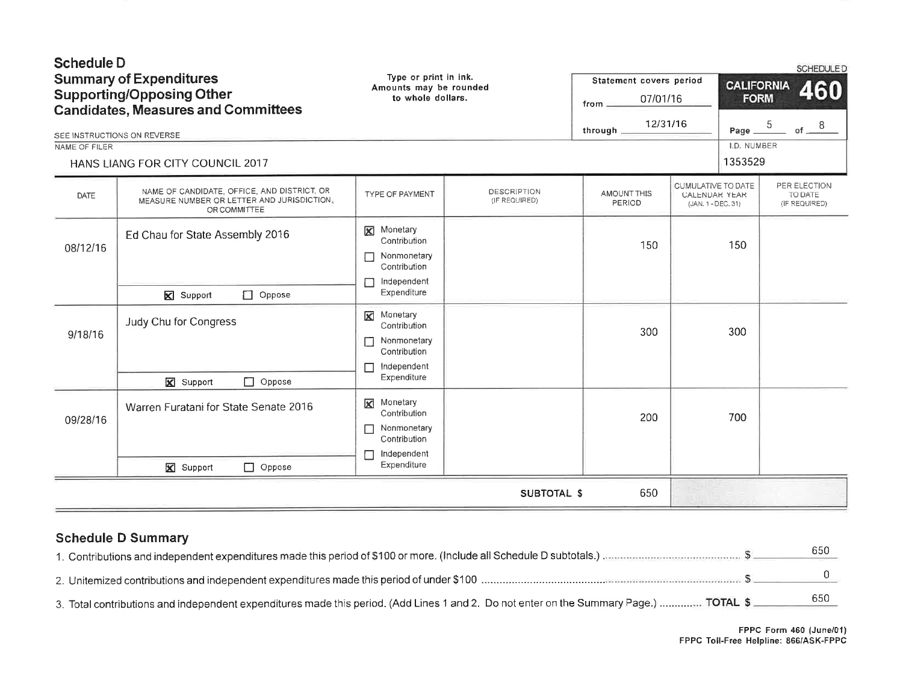| <b>Schedule D</b><br><b>Summary of Expenditures</b><br><b>Supporting/Opposing Other</b><br><b>Candidates, Measures and Committees</b><br>SEE INSTRUCTIONS ON REVERSE<br>NAME OF FILER |                                                                                                           | Type or print in ink.<br>Amounts may be rounded<br>to whole dollars.                                           |                                     | Statement covers period<br>07/01/16<br>from<br>12/31/16<br>through |                                                                  | <b>CALIFORNIA</b><br><b>FORM</b><br>5<br>Page<br>I.D. NUMBER | <b>SCHEDULED</b><br>460<br>of $^8$       |
|---------------------------------------------------------------------------------------------------------------------------------------------------------------------------------------|-----------------------------------------------------------------------------------------------------------|----------------------------------------------------------------------------------------------------------------|-------------------------------------|--------------------------------------------------------------------|------------------------------------------------------------------|--------------------------------------------------------------|------------------------------------------|
|                                                                                                                                                                                       | HANS LIANG FOR CITY COUNCIL 2017                                                                          |                                                                                                                |                                     |                                                                    |                                                                  | 1353529                                                      |                                          |
| DATE                                                                                                                                                                                  | NAME OF CANDIDATE, OFFICE, AND DISTRICT, OR<br>MEASURE NUMBER OR LETTER AND JURISDICTION.<br>OR COMMITTEE | TYPE OF PAYMENT                                                                                                | <b>DESCRIPTION</b><br>(IF REQUIRED) | AMOUNT THIS<br>PERIOD                                              | <b>CUMULATIVE TO DATE</b><br>CALENDAR YEAR<br>(JAN. 1 - DEC. 31) |                                                              | PER ELECTION<br>TO DATE<br>(IF REQUIRED) |
| 08/12/16                                                                                                                                                                              | Ed Chau for State Assembly 2016<br>$\Box$ Oppose<br>Support                                               | <b>X</b> Monetary<br>Contribution<br>Nonmonetary<br>Contribution<br>Independent<br>Expenditure                 |                                     | 150                                                                |                                                                  | 150                                                          |                                          |
| 9/18/16                                                                                                                                                                               | Judy Chu for Congress<br>$\Box$ Oppose<br><b>X</b> Support                                                | Monetary<br>$\boxtimes$<br>Contribution<br>Nonmonetary<br>□<br>Contribution<br>Independent<br>П<br>Expenditure |                                     | 300                                                                |                                                                  | 300                                                          |                                          |
| 09/28/16                                                                                                                                                                              | Warren Furatani for State Senate 2016<br>$\Box$ Oppose<br>X Support                                       | <b>X</b> Monetary<br>Contribution<br>Nonmonetary<br>П<br>Contribution<br>Independent<br>Expenditure            |                                     | 200                                                                |                                                                  | 700                                                          |                                          |
|                                                                                                                                                                                       |                                                                                                           |                                                                                                                | <b>SUBTOTAL \$</b>                  | 650                                                                |                                                                  |                                                              |                                          |

# **Schedule D Summary**

|                                                                                                                                        | 65C |
|----------------------------------------------------------------------------------------------------------------------------------------|-----|
|                                                                                                                                        |     |
|                                                                                                                                        |     |
| 3. Total contributions and independent expenditures made this period. (Add Lines 1 and 2. Do not enter on the Summary Page.)  TOTAL \$ | 650 |
|                                                                                                                                        |     |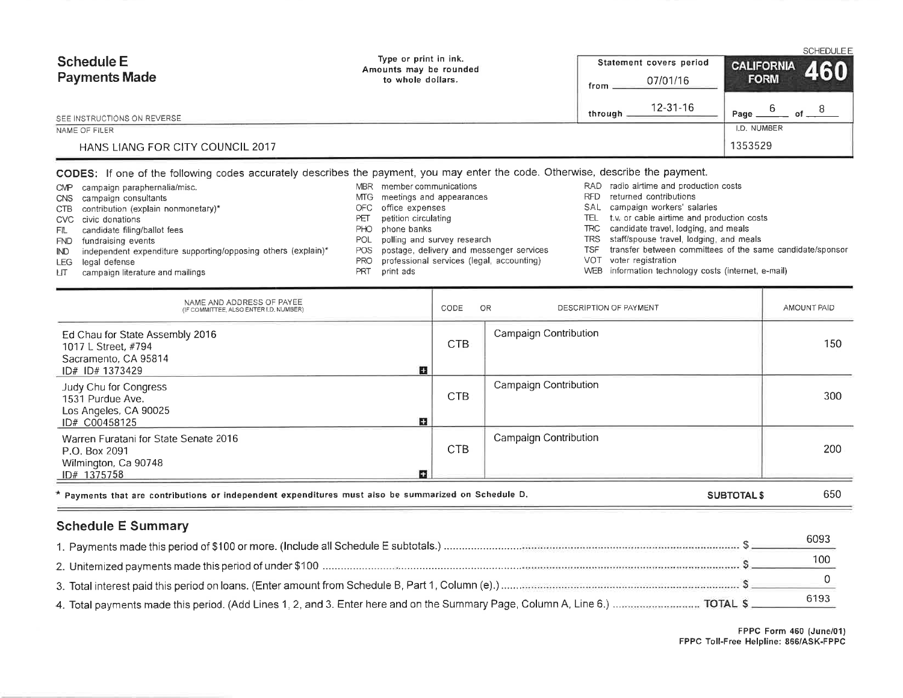| <b>Schedule E</b><br><b>Payments Made</b> | Type or print in ink.<br>Amounts may be rounded<br>to whole dollars. | Statement covers period<br>07/01/16<br>from |             |
|-------------------------------------------|----------------------------------------------------------------------|---------------------------------------------|-------------|
| SEE INSTRUCTIONS ON REVERSE.              |                                                                      | $12 - 31 - 16$<br>through                   | Page<br>οf  |
| NAME OF FILER                             |                                                                      |                                             | I.D. NUMBER |
| HANS LIANG FOR CITY COUNCIL 2017          |                                                                      |                                             | 1353529     |

#### CODES: If one of the following codes accurately describes the payment, you may enter the code. Otherwise, describe the payment.

- CMP campaign paraphernalia/misc. CNS campaign consultants CTB contribution (explain nonmonetary)\* CVC civic donations candidate filing/ballot fees FIL
- FND fundraising events
- independent expenditure supporting/opposing others (explain)\*  $\mathbb{N}$
- LEG legal defense
- campaign literature and mailings ЦT.
- MBR member communications MTG meetings and appearances
- OFC office expenses
- petition circulating PET
- PHO phone banks
- POL polling and survey research
- postage, delivery and messenger services POS
- professional services (legal, accounting) **PRO**
- PRT print ads
- RAD radio airtime and production costs
- RFD returned contributions
- SAL campaign workers' salaries
- TEL t.v. or cable airtime and production costs
- TRC candidate travel, lodging, and meals
- TRS staff/spouse travel, lodging, and meals
- TSF transfer between committees of the same candidate/sponsor
- VOT voter registration
- WEB information technology costs (internet, e-mail)

| NAME AND ADDRESS OF PAYEE<br>(IF COMMITTEE, ALSO ENTER I.D. NUMBER)                                    | OR<br>CODE | DESCRIPTION OF PAYMENT       | AMOUNT PAID |
|--------------------------------------------------------------------------------------------------------|------------|------------------------------|-------------|
| Ed Chau for State Assembly 2016<br>1017 L Street, #794<br>Sacramento, CA 95814<br>n<br>ID# ID# 1373429 | CTB        | <b>Campaign Contribution</b> | 150         |
| Judy Chu for Congress<br>1531 Purdue Ave.<br>Los Angeles, CA 90025<br>Е<br>ID# C00458125               | <b>CTB</b> | Campaign Contribution        | 300         |
| Warren Furatani for State Senate 2016<br>P.O. Box 2091<br>Wilmington, Ca 90748<br>п<br>ID# 1375758     | <b>CTB</b> | Campaign Contribution        | 200         |
| * Payments that are contributions or independent expenditures must also be summarized on Schedule D.   |            | <b>SUBTOTALS</b>             | 650         |

### **Schedule E Summary**

| 609. |
|------|
|      |
|      |
| 6193 |

FPPC Form 460 (June/01) FPPC Toll-Free Helpline: 866/ASK-FPPC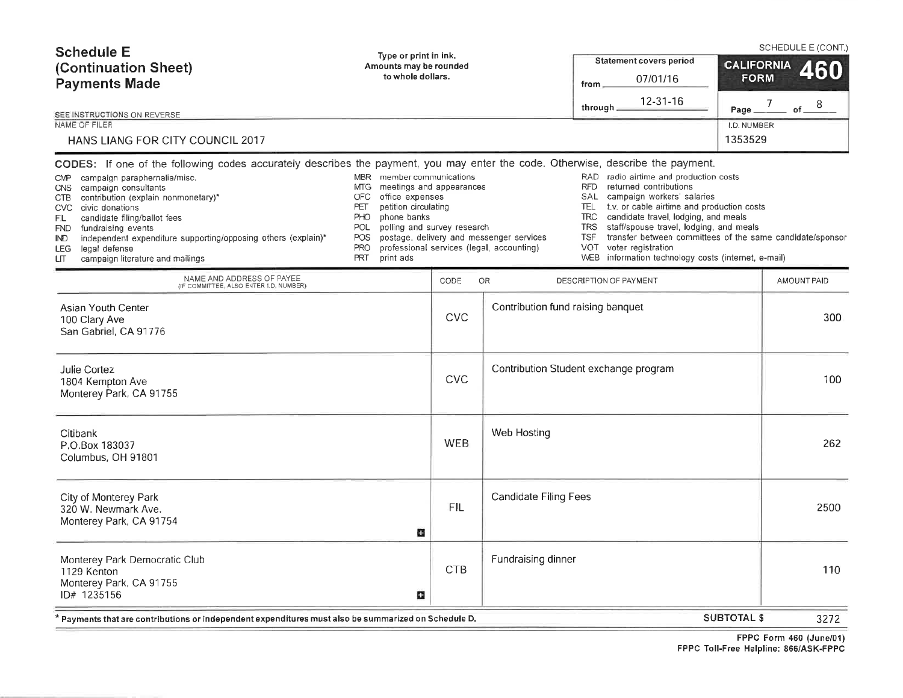| <b>Schedule E</b><br>(Continuation Sheet)<br><b>Payments Made</b><br>SEE INSTRUCTIONS ON REVERSE<br>NAME OF FILER                                                                                                                                                                                                                                                                                                                                                                                                                      | Type or print in ink.<br><b>Statement covers period</b><br>Amounts may be rounded<br>to whole dollars.<br>07/01/16<br>from $\_$<br>12-31-16<br>through.                                                                                   |            |                                                                                       |                                                                                                                                                                                                                                                                                                                                                                                                         |                                                                      |
|----------------------------------------------------------------------------------------------------------------------------------------------------------------------------------------------------------------------------------------------------------------------------------------------------------------------------------------------------------------------------------------------------------------------------------------------------------------------------------------------------------------------------------------|-------------------------------------------------------------------------------------------------------------------------------------------------------------------------------------------------------------------------------------------|------------|---------------------------------------------------------------------------------------|---------------------------------------------------------------------------------------------------------------------------------------------------------------------------------------------------------------------------------------------------------------------------------------------------------------------------------------------------------------------------------------------------------|----------------------------------------------------------------------|
| <b>HANS LIANG FOR CITY COUNCIL 2017</b><br>CODES: If one of the following codes accurately describes the payment, you may enter the code. Otherwise, describe the payment.<br>CMP campaign paraphernalia/misc.<br>campaign consultants<br>CNS.<br>CTB contribution (explain nonmonetary)*<br>CVC civic donations<br>candidate filing/ballot fees<br>FIL<br>fundraising events<br><b>FND</b><br>independent expenditure supporting/opposing others (explain)*<br>IND<br>legal defense<br>LEG.<br>campaign literature and mailings<br>LП | MBR member communications<br>meetings and appearances<br>MTG.<br>office expenses<br>OFC<br>petition circulating<br>PET<br>phone banks<br>PHO<br>POL<br>polling and survey research<br><b>POS</b><br><b>PRO</b><br><b>PRT</b><br>print ads |            | postage, delivery and messenger services<br>professional services (legal, accounting) | RAD<br>radio airtime and production costs<br><b>RFD</b><br>returned contributions<br>campaign workers' salaries<br><b>SAL</b><br>TEL<br>t.v. or cable airtime and production costs<br><b>TRC</b><br>candidate travel, lodging, and meals<br>staff/spouse travel, lodging, and meals<br><b>TRS</b><br>TSF<br>VOT.<br>voter registration<br><b>WEB</b><br>information technology costs (internet, e-mail) | 1353529<br>transfer between committees of the same candidate/sponsor |
| NAME AND ADDRESS OF PAYEE<br>(IF COMMITTEE, ALSO ENTER I.D. NUMBER)                                                                                                                                                                                                                                                                                                                                                                                                                                                                    |                                                                                                                                                                                                                                           | CODE       | OR                                                                                    | DESCRIPTION OF PAYMENT                                                                                                                                                                                                                                                                                                                                                                                  | AMOUNT PAID                                                          |
| Asian Youth Center<br>100 Clary Ave<br>San Gabriel, CA 91776                                                                                                                                                                                                                                                                                                                                                                                                                                                                           |                                                                                                                                                                                                                                           | <b>CVC</b> | Contribution fund raising banquet                                                     |                                                                                                                                                                                                                                                                                                                                                                                                         | 300                                                                  |
| Julie Cortez<br>1804 Kempton Ave<br>Monterey Park, CA 91755                                                                                                                                                                                                                                                                                                                                                                                                                                                                            |                                                                                                                                                                                                                                           | <b>CVC</b> |                                                                                       | Contribution Student exchange program                                                                                                                                                                                                                                                                                                                                                                   | 100                                                                  |
| Citibank<br>P.O.Box 183037<br>Columbus, OH 91801                                                                                                                                                                                                                                                                                                                                                                                                                                                                                       |                                                                                                                                                                                                                                           | <b>WEB</b> | Web Hosting                                                                           |                                                                                                                                                                                                                                                                                                                                                                                                         | 262                                                                  |
| City of Monterey Park<br>320 W. Newmark Ave.<br>Monterey Park, CA 91754                                                                                                                                                                                                                                                                                                                                                                                                                                                                | Ω                                                                                                                                                                                                                                         | <b>FIL</b> | <b>Candidate Filing Fees</b>                                                          |                                                                                                                                                                                                                                                                                                                                                                                                         | 2500                                                                 |
| Monterey Park Democratic Club<br>1129 Kenton<br>Monterey Park, CA 91755<br>ID# 1235156                                                                                                                                                                                                                                                                                                                                                                                                                                                 | o                                                                                                                                                                                                                                         | <b>CTB</b> | Fundraising dinner                                                                    |                                                                                                                                                                                                                                                                                                                                                                                                         | 110                                                                  |
| Payments that are contributions or independent expenditures must also be summarized on Schedule D. *                                                                                                                                                                                                                                                                                                                                                                                                                                   |                                                                                                                                                                                                                                           |            |                                                                                       |                                                                                                                                                                                                                                                                                                                                                                                                         | <b>SUBTOTAL \$</b><br>3272                                           |